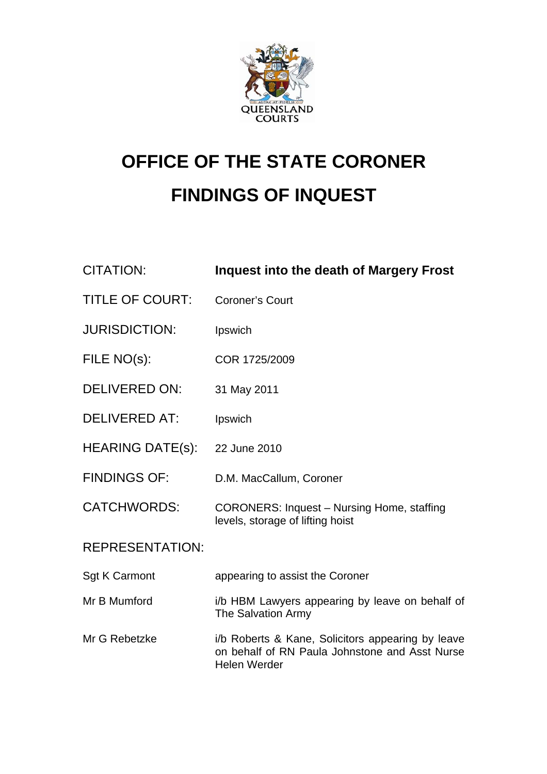

# **OFFICE OF THE STATE CORONER FINDINGS OF INQUEST**

| <b>CITATION:</b>        | <b>Inquest into the death of Margery Frost</b>                                                                             |
|-------------------------|----------------------------------------------------------------------------------------------------------------------------|
| <b>TITLE OF COURT:</b>  | <b>Coroner's Court</b>                                                                                                     |
| <b>JURISDICTION:</b>    | Ipswich                                                                                                                    |
| FILE NO(s):             | COR 1725/2009                                                                                                              |
| <b>DELIVERED ON:</b>    | 31 May 2011                                                                                                                |
| <b>DELIVERED AT:</b>    | Ipswich                                                                                                                    |
| <b>HEARING DATE(s):</b> | 22 June 2010                                                                                                               |
| <b>FINDINGS OF:</b>     | D.M. MacCallum, Coroner                                                                                                    |
| <b>CATCHWORDS:</b>      | <b>CORONERS: Inquest - Nursing Home, staffing</b><br>levels, storage of lifting hoist                                      |
| <b>REPRESENTATION:</b>  |                                                                                                                            |
| <b>Sgt K Carmont</b>    | appearing to assist the Coroner                                                                                            |
| Mr B Mumford            | i/b HBM Lawyers appearing by leave on behalf of<br>The Salvation Army                                                      |
| Mr G Rebetzke           | i/b Roberts & Kane, Solicitors appearing by leave<br>on behalf of RN Paula Johnstone and Asst Nurse<br><b>Helen Werder</b> |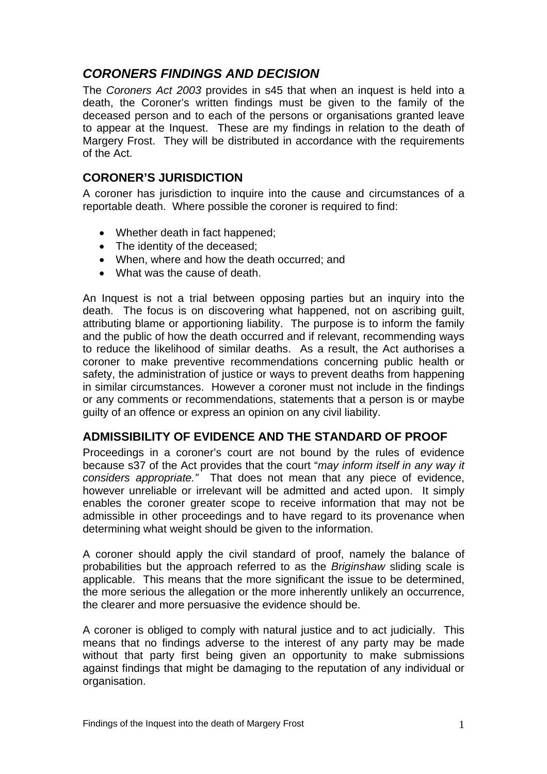# *CORONERS FINDINGS AND DECISION*

The *Coroners Act 2003* provides in s45 that when an inquest is held into a death, the Coroner's written findings must be given to the family of the deceased person and to each of the persons or organisations granted leave to appear at the Inquest. These are my findings in relation to the death of Margery Frost. They will be distributed in accordance with the requirements of the Act.

## **CORONER'S JURISDICTION**

A coroner has jurisdiction to inquire into the cause and circumstances of a reportable death. Where possible the coroner is required to find:

- Whether death in fact happened;
- The identity of the deceased;
- When, where and how the death occurred; and
- What was the cause of death.

An Inquest is not a trial between opposing parties but an inquiry into the death. The focus is on discovering what happened, not on ascribing guilt, attributing blame or apportioning liability. The purpose is to inform the family and the public of how the death occurred and if relevant, recommending ways to reduce the likelihood of similar deaths. As a result, the Act authorises a coroner to make preventive recommendations concerning public health or safety, the administration of justice or ways to prevent deaths from happening in similar circumstances. However a coroner must not include in the findings or any comments or recommendations, statements that a person is or maybe guilty of an offence or express an opinion on any civil liability.

## **ADMISSIBILITY OF EVIDENCE AND THE STANDARD OF PROOF**

Proceedings in a coroner's court are not bound by the rules of evidence because s37 of the Act provides that the court "*may inform itself in any way it considers appropriate."* That does not mean that any piece of evidence, however unreliable or irrelevant will be admitted and acted upon. It simply enables the coroner greater scope to receive information that may not be admissible in other proceedings and to have regard to its provenance when determining what weight should be given to the information.

A coroner should apply the civil standard of proof, namely the balance of probabilities but the approach referred to as the *Briginshaw* sliding scale is applicable. This means that the more significant the issue to be determined, the more serious the allegation or the more inherently unlikely an occurrence, the clearer and more persuasive the evidence should be.

A coroner is obliged to comply with natural justice and to act judicially. This means that no findings adverse to the interest of any party may be made without that party first being given an opportunity to make submissions against findings that might be damaging to the reputation of any individual or organisation.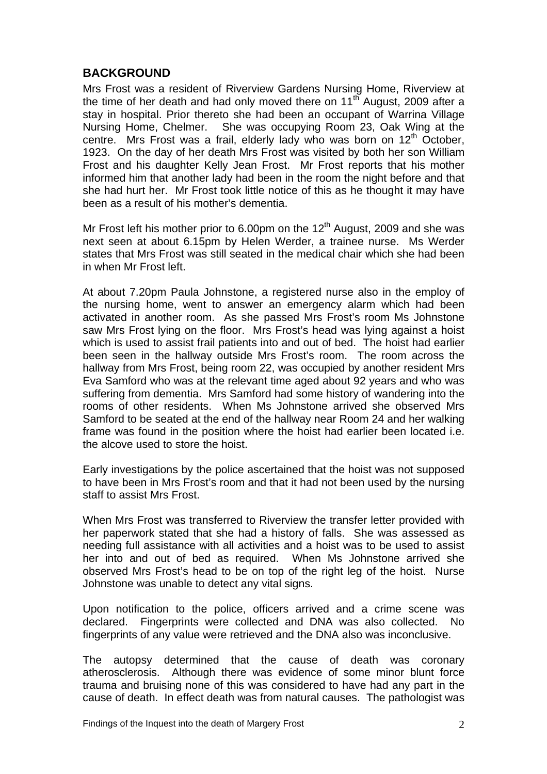#### **BACKGROUND**

Mrs Frost was a resident of Riverview Gardens Nursing Home, Riverview at the time of her death and had only moved there on  $11<sup>th</sup>$  August, 2009 after a stay in hospital. Prior thereto she had been an occupant of Warrina Village Nursing Home, Chelmer. She was occupying Room 23, Oak Wing at the centre. Mrs Frost was a frail, elderly lady who was born on  $12<sup>th</sup>$  October, 1923. On the day of her death Mrs Frost was visited by both her son William Frost and his daughter Kelly Jean Frost. Mr Frost reports that his mother informed him that another lady had been in the room the night before and that she had hurt her. Mr Frost took little notice of this as he thought it may have been as a result of his mother's dementia.

Mr Frost left his mother prior to 6.00pm on the  $12<sup>th</sup>$  August, 2009 and she was next seen at about 6.15pm by Helen Werder, a trainee nurse. Ms Werder states that Mrs Frost was still seated in the medical chair which she had been in when Mr Frost left.

At about 7.20pm Paula Johnstone, a registered nurse also in the employ of the nursing home, went to answer an emergency alarm which had been activated in another room. As she passed Mrs Frost's room Ms Johnstone saw Mrs Frost lying on the floor. Mrs Frost's head was lying against a hoist which is used to assist frail patients into and out of bed. The hoist had earlier been seen in the hallway outside Mrs Frost's room. The room across the hallway from Mrs Frost, being room 22, was occupied by another resident Mrs Eva Samford who was at the relevant time aged about 92 years and who was suffering from dementia. Mrs Samford had some history of wandering into the rooms of other residents. When Ms Johnstone arrived she observed Mrs Samford to be seated at the end of the hallway near Room 24 and her walking frame was found in the position where the hoist had earlier been located i.e. the alcove used to store the hoist.

Early investigations by the police ascertained that the hoist was not supposed to have been in Mrs Frost's room and that it had not been used by the nursing staff to assist Mrs Frost.

When Mrs Frost was transferred to Riverview the transfer letter provided with her paperwork stated that she had a history of falls. She was assessed as needing full assistance with all activities and a hoist was to be used to assist her into and out of bed as required. When Ms Johnstone arrived she observed Mrs Frost's head to be on top of the right leg of the hoist. Nurse Johnstone was unable to detect any vital signs.

Upon notification to the police, officers arrived and a crime scene was declared. Fingerprints were collected and DNA was also collected. No fingerprints of any value were retrieved and the DNA also was inconclusive.

The autopsy determined that the cause of death was coronary atherosclerosis. Although there was evidence of some minor blunt force trauma and bruising none of this was considered to have had any part in the cause of death. In effect death was from natural causes. The pathologist was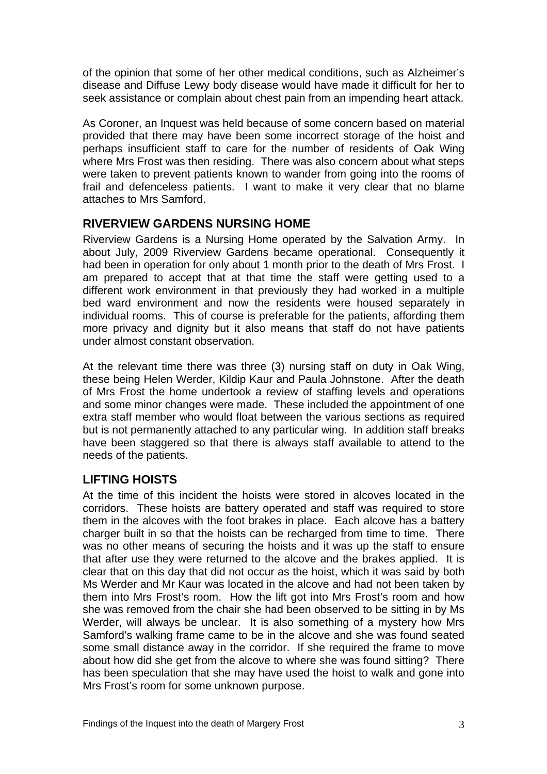of the opinion that some of her other medical conditions, such as Alzheimer's disease and Diffuse Lewy body disease would have made it difficult for her to seek assistance or complain about chest pain from an impending heart attack.

As Coroner, an Inquest was held because of some concern based on material provided that there may have been some incorrect storage of the hoist and perhaps insufficient staff to care for the number of residents of Oak Wing where Mrs Frost was then residing. There was also concern about what steps were taken to prevent patients known to wander from going into the rooms of frail and defenceless patients. I want to make it very clear that no blame attaches to Mrs Samford.

# **RIVERVIEW GARDENS NURSING HOME**

Riverview Gardens is a Nursing Home operated by the Salvation Army. In about July, 2009 Riverview Gardens became operational. Consequently it had been in operation for only about 1 month prior to the death of Mrs Frost. I am prepared to accept that at that time the staff were getting used to a different work environment in that previously they had worked in a multiple bed ward environment and now the residents were housed separately in individual rooms. This of course is preferable for the patients, affording them more privacy and dignity but it also means that staff do not have patients under almost constant observation.

At the relevant time there was three (3) nursing staff on duty in Oak Wing, these being Helen Werder, Kildip Kaur and Paula Johnstone. After the death of Mrs Frost the home undertook a review of staffing levels and operations and some minor changes were made. These included the appointment of one extra staff member who would float between the various sections as required but is not permanently attached to any particular wing. In addition staff breaks have been staggered so that there is always staff available to attend to the needs of the patients.

# **LIFTING HOISTS**

At the time of this incident the hoists were stored in alcoves located in the corridors. These hoists are battery operated and staff was required to store them in the alcoves with the foot brakes in place. Each alcove has a battery charger built in so that the hoists can be recharged from time to time. There was no other means of securing the hoists and it was up the staff to ensure that after use they were returned to the alcove and the brakes applied. It is clear that on this day that did not occur as the hoist, which it was said by both Ms Werder and Mr Kaur was located in the alcove and had not been taken by them into Mrs Frost's room. How the lift got into Mrs Frost's room and how she was removed from the chair she had been observed to be sitting in by Ms Werder, will always be unclear. It is also something of a mystery how Mrs Samford's walking frame came to be in the alcove and she was found seated some small distance away in the corridor. If she required the frame to move about how did she get from the alcove to where she was found sitting? There has been speculation that she may have used the hoist to walk and gone into Mrs Frost's room for some unknown purpose.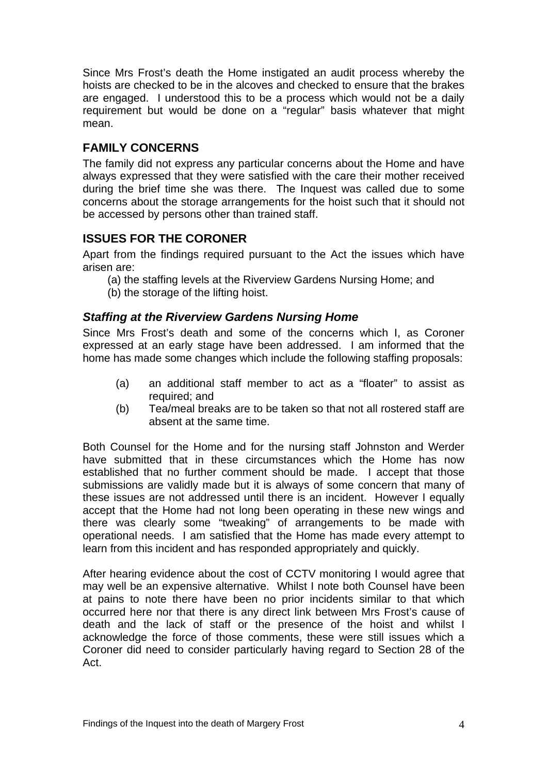Since Mrs Frost's death the Home instigated an audit process whereby the hoists are checked to be in the alcoves and checked to ensure that the brakes are engaged. I understood this to be a process which would not be a daily requirement but would be done on a "regular" basis whatever that might mean.

## **FAMILY CONCERNS**

The family did not express any particular concerns about the Home and have always expressed that they were satisfied with the care their mother received during the brief time she was there. The Inquest was called due to some concerns about the storage arrangements for the hoist such that it should not be accessed by persons other than trained staff.

# **ISSUES FOR THE CORONER**

Apart from the findings required pursuant to the Act the issues which have arisen are:

- (a) the staffing levels at the Riverview Gardens Nursing Home; and
- (b) the storage of the lifting hoist.

#### *Staffing at the Riverview Gardens Nursing Home*

Since Mrs Frost's death and some of the concerns which I, as Coroner expressed at an early stage have been addressed. I am informed that the home has made some changes which include the following staffing proposals:

- (a) an additional staff member to act as a "floater" to assist as required; and
- (b) Tea/meal breaks are to be taken so that not all rostered staff are absent at the same time.

Both Counsel for the Home and for the nursing staff Johnston and Werder have submitted that in these circumstances which the Home has now established that no further comment should be made. I accept that those submissions are validly made but it is always of some concern that many of these issues are not addressed until there is an incident. However I equally accept that the Home had not long been operating in these new wings and there was clearly some "tweaking" of arrangements to be made with operational needs. I am satisfied that the Home has made every attempt to learn from this incident and has responded appropriately and quickly.

After hearing evidence about the cost of CCTV monitoring I would agree that may well be an expensive alternative. Whilst I note both Counsel have been at pains to note there have been no prior incidents similar to that which occurred here nor that there is any direct link between Mrs Frost's cause of death and the lack of staff or the presence of the hoist and whilst I acknowledge the force of those comments, these were still issues which a Coroner did need to consider particularly having regard to Section 28 of the Act.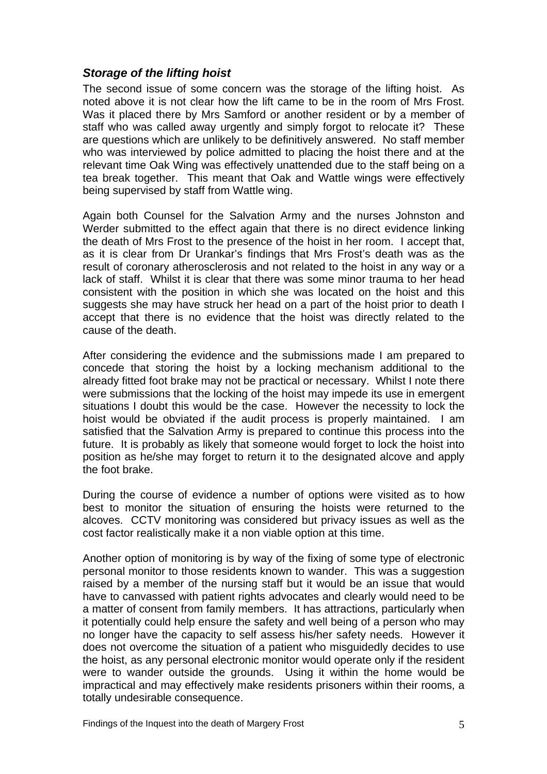#### *Storage of the lifting hoist*

The second issue of some concern was the storage of the lifting hoist. As noted above it is not clear how the lift came to be in the room of Mrs Frost. Was it placed there by Mrs Samford or another resident or by a member of staff who was called away urgently and simply forgot to relocate it? These are questions which are unlikely to be definitively answered. No staff member who was interviewed by police admitted to placing the hoist there and at the relevant time Oak Wing was effectively unattended due to the staff being on a tea break together. This meant that Oak and Wattle wings were effectively being supervised by staff from Wattle wing.

Again both Counsel for the Salvation Army and the nurses Johnston and Werder submitted to the effect again that there is no direct evidence linking the death of Mrs Frost to the presence of the hoist in her room. I accept that, as it is clear from Dr Urankar's findings that Mrs Frost's death was as the result of coronary atherosclerosis and not related to the hoist in any way or a lack of staff. Whilst it is clear that there was some minor trauma to her head consistent with the position in which she was located on the hoist and this suggests she may have struck her head on a part of the hoist prior to death I accept that there is no evidence that the hoist was directly related to the cause of the death.

After considering the evidence and the submissions made I am prepared to concede that storing the hoist by a locking mechanism additional to the already fitted foot brake may not be practical or necessary. Whilst I note there were submissions that the locking of the hoist may impede its use in emergent situations I doubt this would be the case. However the necessity to lock the hoist would be obviated if the audit process is properly maintained. I am satisfied that the Salvation Army is prepared to continue this process into the future. It is probably as likely that someone would forget to lock the hoist into position as he/she may forget to return it to the designated alcove and apply the foot brake.

During the course of evidence a number of options were visited as to how best to monitor the situation of ensuring the hoists were returned to the alcoves. CCTV monitoring was considered but privacy issues as well as the cost factor realistically make it a non viable option at this time.

Another option of monitoring is by way of the fixing of some type of electronic personal monitor to those residents known to wander. This was a suggestion raised by a member of the nursing staff but it would be an issue that would have to canvassed with patient rights advocates and clearly would need to be a matter of consent from family members. It has attractions, particularly when it potentially could help ensure the safety and well being of a person who may no longer have the capacity to self assess his/her safety needs. However it does not overcome the situation of a patient who misguidedly decides to use the hoist, as any personal electronic monitor would operate only if the resident were to wander outside the grounds. Using it within the home would be impractical and may effectively make residents prisoners within their rooms, a totally undesirable consequence.